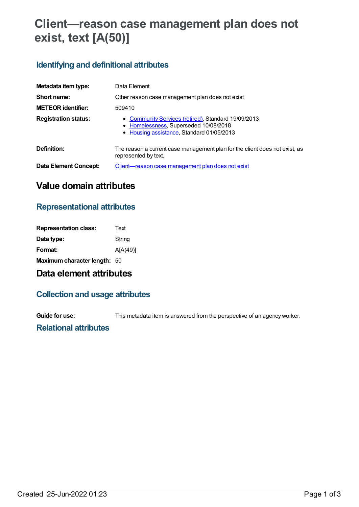## **Client—reason case management plan does not exist, text [A(50)]**

#### **Identifying and definitional attributes**

| Metadata item type:          | Data Element                                                                                                                              |
|------------------------------|-------------------------------------------------------------------------------------------------------------------------------------------|
| Short name:                  | Other reason case management plan does not exist                                                                                          |
| <b>METEOR identifier:</b>    | 509410                                                                                                                                    |
| <b>Registration status:</b>  | • Community Services (retired), Standard 19/09/2013<br>• Homelessness, Superseded 10/08/2018<br>• Housing assistance, Standard 01/05/2013 |
| Definition:                  | The reason a current case management plan for the client does not exist, as<br>represented by text.                                       |
| <b>Data Element Concept:</b> | <u>Client—reason case management plan does not exist</u>                                                                                  |

#### **Value domain attributes**

### **Representational attributes**

| <b>Representation class:</b> | Text     |
|------------------------------|----------|
| Data type:                   | String   |
| Format:                      | A[A(49)] |
| Maximum character length: 50 |          |

## **Data element attributes**

#### **Collection and usage attributes**

**Guide for use:** This metadata item is answered from the perspective of an agency worker.

#### **Relational attributes**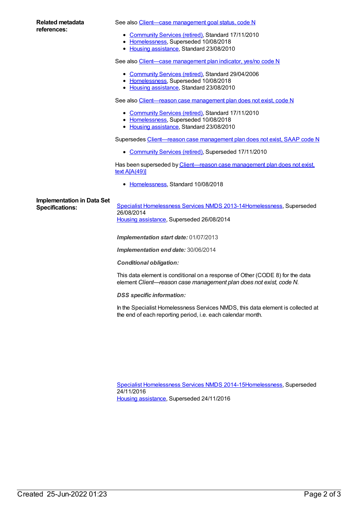#### **Related metadata references:**

See also Client-case [management](https://meteor.aihw.gov.au/content/401048) goal status, code N

- [Community](https://meteor.aihw.gov.au/RegistrationAuthority/1) Services (retired), Standard 17/11/2010
- [Homelessness](https://meteor.aihw.gov.au/RegistrationAuthority/14), Superseded 10/08/2018
- Housing [assistance](https://meteor.aihw.gov.au/RegistrationAuthority/11), Standard 23/08/2010

See also Client—case [management](https://meteor.aihw.gov.au/content/321129) plan indicator, yes/no code N

- [Community](https://meteor.aihw.gov.au/RegistrationAuthority/1) Services (retired), Standard 29/04/2006
- [Homelessness](https://meteor.aihw.gov.au/RegistrationAuthority/14), Superseded 10/08/2018
- Housing [assistance](https://meteor.aihw.gov.au/RegistrationAuthority/11), Standard 23/08/2010

See also Client-reason case management plan does not exist, code N

- [Community](https://meteor.aihw.gov.au/RegistrationAuthority/1) Services (retired), Standard 17/11/2010
- [Homelessness](https://meteor.aihw.gov.au/RegistrationAuthority/14), Superseded 10/08/2018
- Housing [assistance](https://meteor.aihw.gov.au/RegistrationAuthority/11), Standard 23/08/2010

Supersedes [Client—reason](https://meteor.aihw.gov.au/content/350385) case management plan does not exist, SAAP code N

[Community](https://meteor.aihw.gov.au/RegistrationAuthority/1) Services (retired), Superseded 17/11/2010

Has been superseded by [Client—reason](https://meteor.aihw.gov.au/content/689458) case management plan does not exist, text A[A(49)]

• [Homelessness](https://meteor.aihw.gov.au/RegistrationAuthority/14), Standard 10/08/2018

# **Implementation in Data Set**

Specifications: Specialist [Homelessness](https://meteor.aihw.gov.au/content/505626) Services NMDS 2013-1[4Homelessness](https://meteor.aihw.gov.au/RegistrationAuthority/14), Superseded 26/08/2014 Housing [assistance](https://meteor.aihw.gov.au/RegistrationAuthority/11), Superseded 26/08/2014

*Implementation start date:* 01/07/2013

*Implementation end date:* 30/06/2014

*Conditional obligation:*

This data element is conditional on a response of Other (CODE 8) for the data element *Client—reason case management plan does not exist, code N.*

*DSS specific information:*

In the Specialist Homelessness Services NMDS, this data element is collected at the end of each reporting period, i.e. each calendar month.

Specialist [Homelessness](https://meteor.aihw.gov.au/content/581255) Services NMDS 2014-1[5Homelessness](https://meteor.aihw.gov.au/RegistrationAuthority/14), Superseded 24/11/2016 Housing [assistance](https://meteor.aihw.gov.au/RegistrationAuthority/11), Superseded 24/11/2016